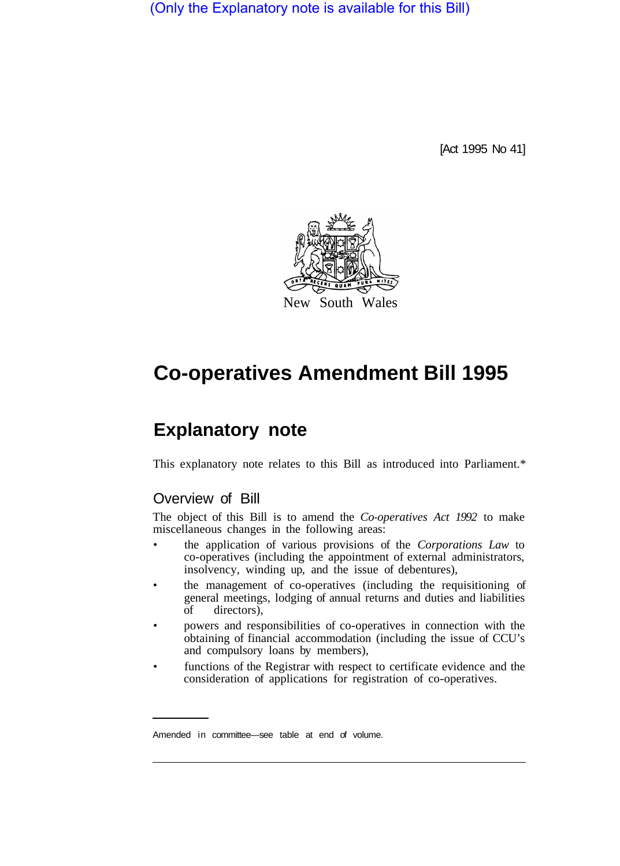(Only the Explanatory note is available for this Bill)

[Act 1995 No 41]



## **Co-operatives Amendment Bill 1995**

## **Explanatory note**

This explanatory note relates to this Bill as introduced into Parliament.\*

## Overview of Bill

The object of this Bill is to amend the *Co-operatives Act 1992* to make miscellaneous changes in the following areas:

- the application of various provisions of the *Corporations Law* to co-operatives (including the appointment of external administrators, insolvency, winding up, and the issue of debentures),
- the management of co-operatives (including the requisitioning of general meetings, lodging of annual returns and duties and liabilities of directors),
- powers and responsibilities of co-operatives in connection with the obtaining of financial accommodation (including the issue of CCU's and compulsory loans by members),
- functions of the Registrar with respect to certificate evidence and the consideration of applications for registration of co-operatives.

Amended in committee—see table at end of volume.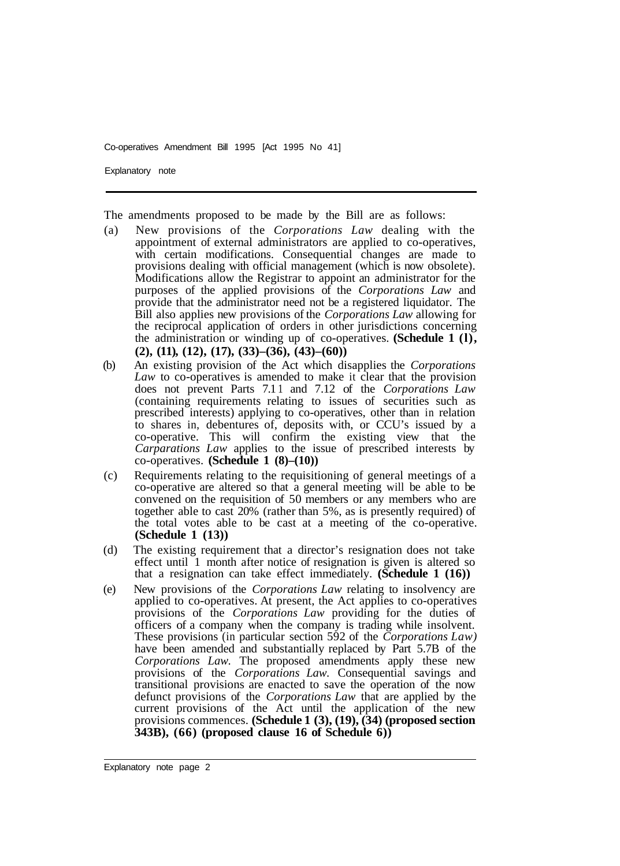Explanatory note

The amendments proposed to be made by the Bill are as follows:

- (a) New provisions of the *Corporations Law* dealing with the appointment of external administrators are applied to co-operatives, with certain modifications. Consequential changes are made to provisions dealing with official management (which is now obsolete). Modifications allow the Registrar to appoint an administrator for the purposes of the applied provisions of the *Corporations Law* and provide that the administrator need not be a registered liquidator. The Bill also applies new provisions of the *Corporations Law* allowing for the reciprocal application of orders in other jurisdictions concerning the administration or winding up of co-operatives. **(Schedule 1 (l), (2), (11), (12), (17), (33)–(36), (43)–(60))**
- (b) An existing provision of the Act which disapplies the *Corporations Law* to co-operatives is amended to make it clear that the provision does not prevent Parts 7.1 1 and 7.12 of the *Corporations Law*  (containing requirements relating to issues of securities such as prescribed interests) applying to co-operatives, other than in relation to shares in, debentures of, deposits with, or CCU's issued by a co-operative. This will confirm the existing view that the *Carparations Law* applies to the issue of prescribed interests by co-operatives. **(Schedule 1 (8)–(10))**
- (c) Requirements relating to the requisitioning of general meetings of a co-operative are altered so that a general meeting will be able to be convened on the requisition of 50 members or any members who are together able to cast 20% (rather than 5%, as is presently required) of the total votes able to be cast at a meeting of the co-operative. **(Schedule 1 (13))**
- (d) The existing requirement that a director's resignation does not take effect until 1 month after notice of resignation is given is altered so that a resignation can take effect immediately. **(Schedule 1 (16))**
- (e) New provisions of the *Corporations Law* relating to insolvency are applied to co-operatives. At present, the Act applies to co-operatives provisions of the *Corporations Law* providing for the duties of officers of a company when the company is trading while insolvent. These provisions (in particular section 592 of the *Corporations Law)*  have been amended and substantially replaced by Part 5.7B of the *Corporations Law.* The proposed amendments apply these new provisions of the *Corporations Law.* Consequential savings and transitional provisions are enacted to save the operation of the now defunct provisions of the *Corporations Law* that are applied by the current provisions of the Act until the application of the new provisions commences. **(Schedule 1 (3), (19), (34) (proposed section 343B), (66) (proposed clause 16 of Schedule 6))**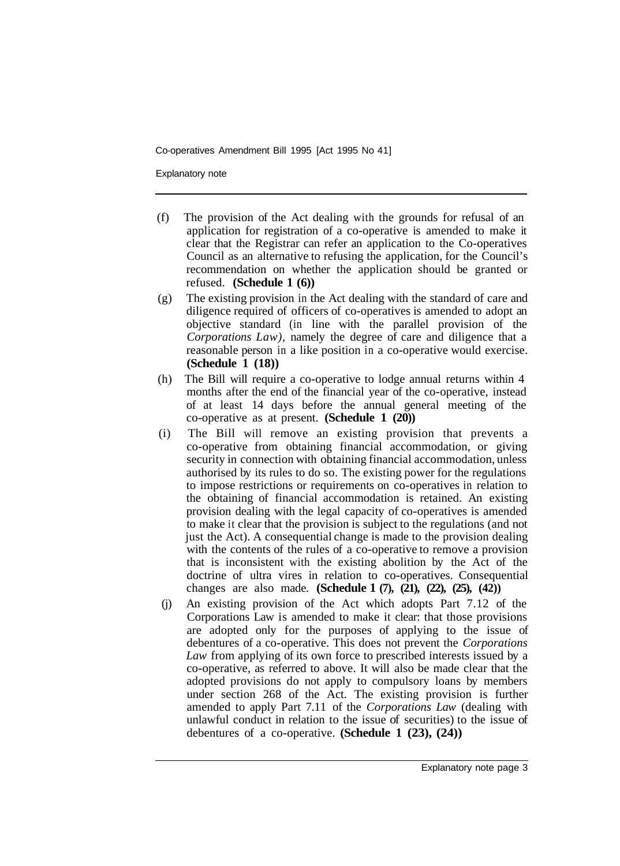Explanatory note

- (f) The provision of the Act dealing with the grounds for refusal of an application for registration of a co-operative is amended to make it clear that the Registrar can refer an application to the Co-operatives Council as an alternative to refusing the application, for the Council's recommendation on whether the application should be granted or refused. **(Schedule 1 (6))**
- (g) The existing provision in the Act dealing with the standard of care and diligence required of officers of co-operatives is amended to adopt an objective standard (in line with the parallel provision of the *Corporations Law),* namely the degree of care and diligence that a reasonable person in a like position in a co-operative would exercise. **(Schedule 1 (18))**
- (h) The Bill will require a co-operative to lodge annual returns within 4 months after the end of the financial year of the co-operative, instead of at least 14 days before the annual general meeting of the co-operative as at present. **(Schedule 1 (20))**
- (i) The Bill will remove an existing provision that prevents a co-operative from obtaining financial accommodation, or giving security in connection with obtaining financial accommodation, unless authorised by its rules to do so. The existing power for the regulations to impose restrictions or requirements on co-operatives in relation to the obtaining of financial accommodation is retained. An existing provision dealing with the legal capacity of co-operatives is amended to make it clear that the provision is subject to the regulations (and not just the Act). A consequential change is made to the provision dealing with the contents of the rules of a co-operative to remove a provision that is inconsistent with the existing abolition by the Act of the doctrine of ultra vires in relation to co-operatives. Consequential changes are also made. **(Schedule 1 (7), (21), (22), (25), (42))**
- (j) An existing provision of the Act which adopts Part 7.12 of the Corporations Law is amended to make it clear: that those provisions are adopted only for the purposes of applying to the issue of debentures of a co-operative. This does not prevent the *Corporations Law* from applying of its own force to prescribed interests issued by a co-operative, as referred to above. It will also be made clear that the adopted provisions do not apply to compulsory loans by members under section 268 of the Act. The existing provision is further amended to apply Part 7.11 of the *Corporations Law* (dealing with unlawful conduct in relation to the issue of securities) to the issue of debentures of a co-operative. **(Schedule 1 (23), (24))**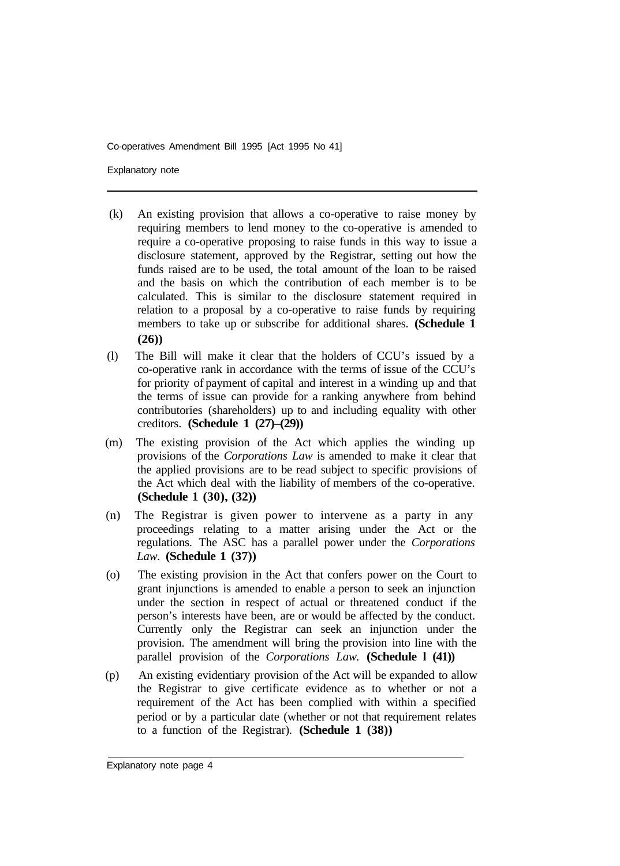Explanatory note

- (k) An existing provision that allows a co-operative to raise money by requiring members to lend money to the co-operative is amended to require a co-operative proposing to raise funds in this way to issue a disclosure statement, approved by the Registrar, setting out how the funds raised are to be used, the total amount of the loan to be raised and the basis on which the contribution of each member is to be calculated. This is similar to the disclosure statement required in relation to a proposal by a co-operative to raise funds by requiring members to take up or subscribe for additional shares. **(Schedule 1 (26))**
- (l) The Bill will make it clear that the holders of CCU's issued by a co-operative rank in accordance with the terms of issue of the CCU's for priority of payment of capital and interest in a winding up and that the terms of issue can provide for a ranking anywhere from behind contributories (shareholders) up to and including equality with other creditors. **(Schedule 1 (27)–(29))**
- (m) The existing provision of the Act which applies the winding up provisions of the *Corporations Law* is amended to make it clear that the applied provisions are to be read subject to specific provisions of the Act which deal with the liability of members of the co-operative. **(Schedule 1 (30), (32))**
- (n) The Registrar is given power to intervene as a party in any proceedings relating to a matter arising under the Act or the regulations. The ASC has a parallel power under the *Corporations Law.* **(Schedule 1 (37))**
- (o) The existing provision in the Act that confers power on the Court to grant injunctions is amended to enable a person to seek an injunction under the section in respect of actual or threatened conduct if the person's interests have been, are or would be affected by the conduct. Currently only the Registrar can seek an injunction under the provision. The amendment will bring the provision into line with the parallel provision of the *Corporations Law.* **(Schedule l (41))**
- (p) An existing evidentiary provision of the Act will be expanded to allow the Registrar to give certificate evidence as to whether or not a requirement of the Act has been complied with within a specified period or by a particular date (whether or not that requirement relates to a function of the Registrar). **(Schedule 1 (38))**

Explanatory note page 4